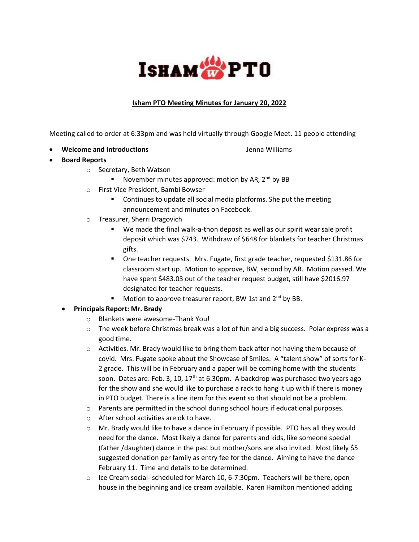

## **Isham PTO Meeting Minutes for January 20, 2022**

Meeting called to order at 6:33pm and was held virtually through Google Meet. 11 people attending

**• Welcome and Introductions Jenna Williams** 

- **Board Reports**
	- o Secretary, Beth Watson
		- November minutes approved: motion by AR, 2<sup>nd</sup> by BB
	- o First Vice President, Bambi Bowser
		- **•** Continues to update all social media platforms. She put the meeting announcement and minutes on Facebook.
	- o Treasurer, Sherri Dragovich
		- We made the final walk-a-thon deposit as well as our spirit wear sale profit deposit which was \$743. Withdraw of \$648 for blankets for teacher Christmas gifts.
		- One teacher requests. Mrs. Fugate, first grade teacher, requested \$131.86 for classroom start up. Motion to approve, BW, second by AR. Motion passed. We have spent \$483.03 out of the teacher request budget, still have \$2016.97 designated for teacher requests.
		- Motion to approve treasurer report, BW 1st and 2<sup>nd</sup> by BB.
	- **Principals Report: Mr. Brady**
		- o Blankets were awesome-Thank You!
		- $\circ$  The week before Christmas break was a lot of fun and a big success. Polar express was a good time.
		- $\circ$  Activities. Mr. Brady would like to bring them back after not having them because of covid. Mrs. Fugate spoke about the Showcase of Smiles. A "talent show" of sorts for K-2 grade. This will be in February and a paper will be coming home with the students soon. Dates are: Feb. 3, 10, 17<sup>th</sup> at 6:30pm. A backdrop was purchased two years ago for the show and she would like to purchase a rack to hang it up with if there is money in PTO budget. There is a line item for this event so that should not be a problem.
		- $\circ$  Parents are permitted in the school during school hours if educational purposes.
		- o After school activities are ok to have.
		- $\circ$  Mr. Brady would like to have a dance in February if possible. PTO has all they would need for the dance. Most likely a dance for parents and kids, like someone special (father /daughter) dance in the past but mother/sons are also invited. Most likely \$5 suggested donation per family as entry fee for the dance. Aiming to have the dance February 11. Time and details to be determined.
		- $\circ$  Ice Cream social- scheduled for March 10, 6-7:30pm. Teachers will be there, open house in the beginning and ice cream available. Karen Hamilton mentioned adding